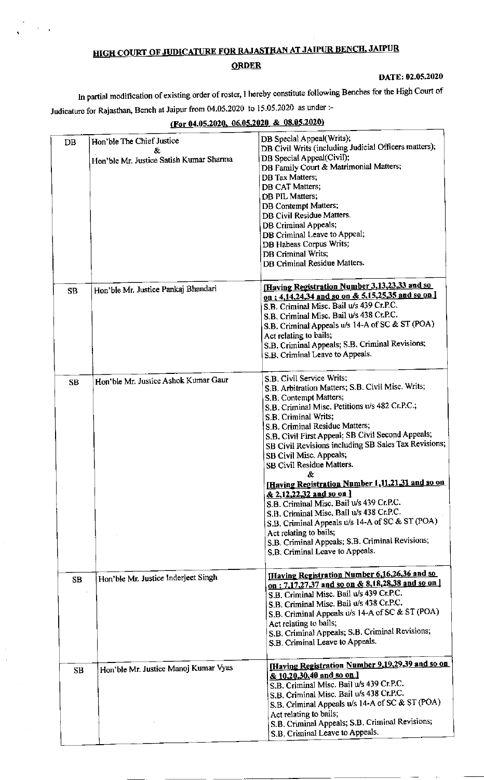## **HIGH COURT OF JUDICATURE FOR RAJASTHAN AT JAIPUR BENCH, JAIPUR**

## **ORDER**

## DATE: 02.05.2020

In partial modification of existing order of roster, I hereby constitute following Benches for the High Court of Judicature for Rajasthan, Bench at Jaipur from 04.05.2020 to 15.05.2020 as under :-

## (For 04.05.2020, 06.05.2020 & 08.05.2020)

| DB        | Hon'ble The Chief Justice<br>&.         | DB Special Appeal(Writs);<br>DB Civil Writs (including Judicial Officers matters);                       |
|-----------|-----------------------------------------|----------------------------------------------------------------------------------------------------------|
|           | Hon'ble Mr. Justice Satish Kumar Sharma | DB Special Appeal(Civil);                                                                                |
|           |                                         | DB Family Court & Matrimonial Matters;<br>DB Tax Matters;                                                |
|           |                                         | DB CAT Matters;                                                                                          |
|           |                                         | DB PIL Matters;                                                                                          |
|           |                                         | DB Contempt Matters;                                                                                     |
|           |                                         | DB Civil Residue Matters.                                                                                |
|           |                                         | DB Criminal Appeals;                                                                                     |
|           |                                         | DB Criminal Leave to Appeal;                                                                             |
|           |                                         | DB Habeas Corpus Writs;<br><b>DB</b> Criminal Writs;                                                     |
|           |                                         | DB Criminal Residue Matters.                                                                             |
|           |                                         |                                                                                                          |
| <b>SB</b> | Hon'ble Mr. Justice Pankaj Bhandari     | Having Registration Number 3,13,23,33 and so<br>on; 4,14,24,34 and so on & 5,15,25,35 and so on ]        |
|           |                                         | S.B. Criminal Misc. Bail u/s 439 Cr.P.C.                                                                 |
|           |                                         | S.B. Criminal Misc. Bail u/s 438 Cr.P.C.                                                                 |
|           |                                         | S.B. Criminal Appeals u/s 14-A of SC & ST (POA)                                                          |
|           |                                         | Act relating to bails;                                                                                   |
|           |                                         | S.B. Criminal Appeals; S.B. Criminal Revisions;                                                          |
|           |                                         | S.B. Criminal Leave to Appeals.                                                                          |
|           | Hon'ble Mr. Justice Ashok Kumar Gaur    | S.B. Civil Service Writs;                                                                                |
| <b>SB</b> |                                         | S.B. Arbitration Matters; S.B. Civil Misc. Writs;                                                        |
|           |                                         | S.B. Contempt Matters;                                                                                   |
|           |                                         | S.B. Criminal Misc. Petitions u/s 482 Cr.P.C.;                                                           |
|           |                                         | S.B. Criminal Writs;                                                                                     |
|           |                                         | S.B. Criminal Residue Matters;<br>S.B. Civil First Appeal; SB Civil Second Appeals;                      |
|           |                                         | SB Civil Revisions including SB Sales Tax Revisions;                                                     |
|           |                                         | SB Civil Misc. Appeals;                                                                                  |
|           |                                         | SB Civil Residue Matters.                                                                                |
|           |                                         | &<br>[Having Registration Number 1,11,21,31 and so on                                                    |
|           |                                         | & 2,12,22,32 and so on ]                                                                                 |
|           |                                         | S.B. Criminal Misc. Bail u/s 439 Cr.P.C.                                                                 |
|           |                                         | S.B. Criminal Misc. Bail u/s 438 Cr.P.C.<br>S.B. Criminal Appeals u/s 14-A of SC & ST (POA)              |
|           |                                         | Act relating to bails;                                                                                   |
|           |                                         | S.B. Criminal Appeals; S.B. Criminal Revisions;                                                          |
|           |                                         | S.B. Criminal Leave to Appeals.                                                                          |
|           |                                         |                                                                                                          |
| SB        | Hon'ble Mr. Justice Inderjeet Singh     | <b>Having Registration Number 6,16,26,36 and so</b><br>on: 7,17,27,37 and so on & 8,18,28,38 and so on ] |
|           |                                         | S.B. Criminal Misc. Bail u/s 439 Cr.P.C.                                                                 |
|           |                                         | S.B. Criminal Misc. Bail u/s 438 Cr.P.C.                                                                 |
|           |                                         | S.B. Criminal Appeals u/s 14-A of SC & ST (POA)                                                          |
|           |                                         | Act relating to bails;                                                                                   |
|           |                                         | S.B. Criminal Appeals; S.B. Criminal Revisions;                                                          |
|           |                                         | S.B. Criminal Leave to Appeals.                                                                          |
|           | Hon'ble Mr. Justice Manoj Kumar Vyas    | <b>Having Registration Number 9,19,29,39 and so on</b>                                                   |
| <b>SB</b> |                                         | & 10,20,30,40 and so on 1                                                                                |
|           |                                         | S.B. Criminal Misc. Bail w/s 439 Cr.P.C.                                                                 |
|           |                                         | S.B. Criminal Misc. Bail u/s 438 Cr.P.C.                                                                 |
|           |                                         | S.B. Criminal Appeals u/s 14-A of SC & ST (POA)                                                          |
|           |                                         | Act relating to bails;<br>S.B. Criminal Appeals; S.B. Criminal Revisions;                                |
|           |                                         | S.B. Criminal Leave to Appeals.                                                                          |
|           |                                         |                                                                                                          |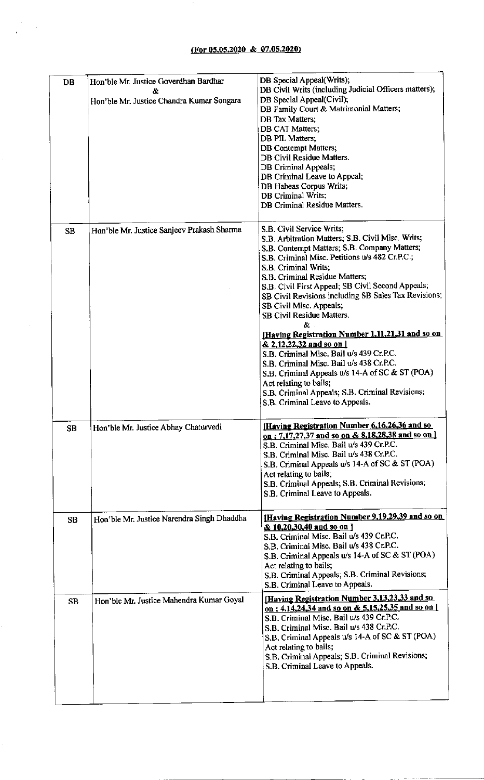$\bar{\mathcal{E}}$ 

 $\bar{ }$ 

Ŷ,

| DB        |           | Hon'ble Mr. Justice Goverdhan Bardhar<br>&<br>Hon'ble Mr. Justice Chandra Kumar Songara | DB Special Appeal(Writs);<br>DB Civil Writs (including Judicial Officers matters);<br>DB Special Appeal(Civil);<br>DB Family Court & Matrimonial Matters;<br>DB Tax Matters:<br>DB CAT Matters;<br>DB PIL Matters;<br>DB Contempt Matters;<br>DB Civil Residue Matters.<br>DB Criminal Appeals;<br>DB Criminal Leave to Appeal;<br>DB Habeas Corpus Writs;<br>DB Criminal Writs;<br>DB Criminal Residue Matters.                                                                                                                                                                                                                                                                                                                                                       |
|-----------|-----------|-----------------------------------------------------------------------------------------|------------------------------------------------------------------------------------------------------------------------------------------------------------------------------------------------------------------------------------------------------------------------------------------------------------------------------------------------------------------------------------------------------------------------------------------------------------------------------------------------------------------------------------------------------------------------------------------------------------------------------------------------------------------------------------------------------------------------------------------------------------------------|
| <b>SB</b> |           | Hon'ble Mr. Justice Sanjeev Prakash Sharma                                              | S.B. Civil Service Writs;<br>S.B. Arbitration Matters; S.B. Civil Misc. Writs;<br>S.B. Contempt Matters; S.B. Company Matters;<br>S.B. Criminal Misc. Petitions u/s 482 Cr.P.C.;<br>S.B. Criminal Writs:<br>S.B. Criminal Residue Matters;<br>S.B. Civil First Appeal; SB Civil Second Appeals;<br>SB Civil Revisions including SB Sales Tax Revisions;<br>SB Civil Misc. Appeals;<br>SB Civil Residue Matters.<br>æ.<br><b>Having Registration Number 1,11,21,31 and so on</b><br>& 2,12,22,32 and so on 1<br>S.B. Criminal Misc. Bail u/s 439 Cr.P.C.<br>S.B. Criminal Misc. Bail u/s 438 Cr.P.C.<br>S.B. Criminal Appeals u/s 14-A of SC & ST (POA)<br>Act relating to bails;<br>S.B. Criminal Appeals; S.B. Criminal Revisions;<br>S.B. Criminal Leave to Appeals. |
| SB        |           | Hon'ble Mr. Justice Abhay Chaturvedi                                                    | [Having Registration Number 6, 16, 26, 36 and so<br>on: 7,17,27,37 and so on & 8,18,28,38 and so on ]<br>S.B. Criminal Misc. Bail u/s 439 Cr.P.C.<br>S.B. Criminal Misc. Bail u/s 438 Cr.P.C.<br>S.B. Criminal Appeals u/s 14-A of SC & ST (POA)<br>Act relating to bails;<br>S.B. Criminal Appeals; S.B. Criminal Revisions;<br>S.B. Criminal Leave to Appeals.                                                                                                                                                                                                                                                                                                                                                                                                       |
| <b>SB</b> |           | Hon'ble Mr. Justice Narendra Singh Dhaddha                                              | [Having Registration Number 9,19,29,39 and so on<br>& 10,20,30,40 and so on 1<br>S.B. Criminal Misc. Bail u/s 439 Cr.P.C.<br>S.B. Criminal Misc. Bail u/s 438 Cr.P.C.<br>S.B. Criminal Appeals u/s 14-A of SC & ST (POA)<br>Act relating to bails;<br>S.B. Criminal Appeals; S.B. Criminal Revisions;<br>S.B. Criminal Leave to Appeals.                                                                                                                                                                                                                                                                                                                                                                                                                               |
|           | <b>SB</b> | Hon'ble Mr. Justice Mahendra Kumar Goyal                                                | [Having Registration Number 3,13,23,33 and so<br>on: 4,14,24,34 and so on & 5,15,25,35 and so on [<br>S.B. Criminal Misc. Bail u/s 439 Cr.P.C.<br>S.B. Criminal Misc. Bail u/s 438 Cr.P.C.<br>S.B. Criminal Appeals u/s 14-A of SC & ST (POA)<br>Act relating to bails;<br>S.B. Criminal Appeals; S.B. Criminal Revisions;<br>S.B. Criminal Leave to Appeals.                                                                                                                                                                                                                                                                                                                                                                                                          |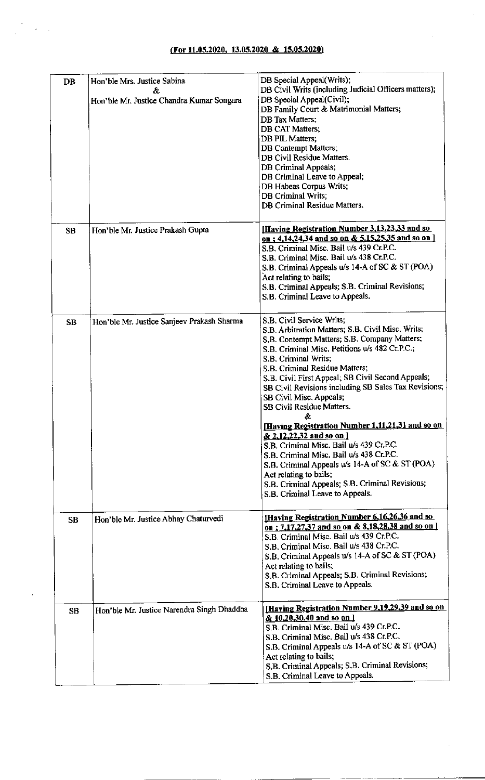$\epsilon = \frac{1}{2}$ 

÷,

J.

| DB        | Hon'ble Mrs. Justice Sabina<br>&<br>Hon'ble Mr. Justice Chandra Kumar Songara | DB Special Appeal(Writs);<br>DB Civil Writs (including Judicial Officers matters);<br>DB Special Appeal(Civil);<br>DB Family Court & Matrimonial Matters;<br><b>DB</b> Tax Matters;<br>DB CAT Matters;<br>DB PIL Matters;<br>DB Contempt Matters;<br>DB Civil Residue Matters.<br>DB Criminal Appeals;<br>DB Criminal Leave to Appeal;<br>DB Habeas Corpus Writs;<br><b>DB Criminal Writs;</b><br>DB Criminal Residue Matters.                                                                                                                                                                                                                                                                                                                                         |
|-----------|-------------------------------------------------------------------------------|------------------------------------------------------------------------------------------------------------------------------------------------------------------------------------------------------------------------------------------------------------------------------------------------------------------------------------------------------------------------------------------------------------------------------------------------------------------------------------------------------------------------------------------------------------------------------------------------------------------------------------------------------------------------------------------------------------------------------------------------------------------------|
| <b>SB</b> | Hon'ble Mr. Justice Prakash Gupta                                             | [Having Registration Number 3,13,23,33 and so<br>on : 4,14,24,34 and so on & 5,15,25,35 and so on ]<br>S.B. Criminal Misc. Bail u/s 439 Cr.P.C.<br>S.B. Criminal Misc. Bail u/s 438 Cr.P.C.<br>S.B. Criminal Appeals u/s 14-A of SC & ST (POA)<br>Act relating to bails;<br>S.B. Criminal Appeals; S.B. Criminal Revisions;<br>S.B. Criminal Leave to Appeals.                                                                                                                                                                                                                                                                                                                                                                                                         |
| <b>SB</b> | Hon'ble Mr. Justice Sanjeev Prakash Sharma                                    | S.B. Civil Service Writs;<br>S.B. Arbitration Matters; S.B. Civil Misc. Writs;<br>S.B. Contempt Matters; S.B. Company Matters;<br>S.B. Criminal Misc. Petitions u/s 482 Cr.P.C.;<br>S.B. Criminal Writs;<br>S.B. Criminal Residue Matters;<br>S.B. Civil First Appeal; SB Civil Second Appeals;<br>SB Civil Revisions including SB Sales Tax Revisions;<br>SB Civil Misc. Appeals;<br>SB Civil Residue Matters.<br>&.<br><b>Having Registration Number 1,11,21,31 and so on</b><br>& 2,12,22,32 and so on 1<br>S.B. Criminal Misc. Bail u/s 439 Cr.P.C.<br>S.B. Criminal Misc. Bail u/s 438 Cr.P.C.<br>S.B. Criminal Appeals u/s 14-A of SC & ST (POA)<br>Act relating to bails;<br>S.B. Criminal Appeals; S.B. Criminal Revisions;<br>S.B. Criminal Leave to Appeals. |
| <b>SB</b> | Hon'ble Mr. Justice Abhay Chaturvedi                                          | <b>Having Registration Number 6,16,26,36 and so</b><br>on: 7,17,27,37 and so on & 8,18,28,38 and so on 1<br>S.B. Criminal Misc. Bail u/s 439 Cr.P.C.<br>S.B. Criminal Misc. Bail u/s 438 Cr.P.C.<br>S.B. Criminal Appeals u/s 14-A of SC & ST (POA)<br>Act relating to bails;<br>S.B. Criminal Appeals; S.B. Criminal Revisions;<br>S.B. Criminal Leave to Appeals.                                                                                                                                                                                                                                                                                                                                                                                                    |
| <b>SB</b> | Hon'ble Mr. Justice Narendra Singh Dhaddha                                    | [Having Registration Number 9,19,29,39 and so on<br>& 10,20,30,40 and so on 1<br>S.B. Criminal Misc. Bail u/s 439 Cr.P.C.<br>S.B. Criminal Misc. Bail u/s 438 Cr.P.C.<br>S.B. Criminal Appeals u/s 14-A of SC & ST (POA)<br>Act relating to bails;<br>S.B. Criminal Appeals; S.B. Criminal Revisions;<br>S.B. Criminal Leave to Appeals.                                                                                                                                                                                                                                                                                                                                                                                                                               |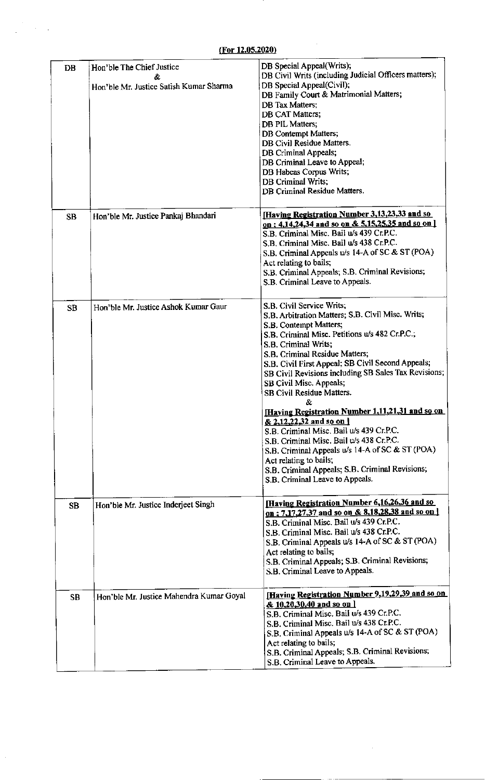| <b>DB</b> | Hon'ble The Chief Justice<br>&.<br>Hon'ble Mr. Justice Satish Kumar Sharma | DB Special Appeal(Writs);<br>DB Civil Writs (including Judicial Officers matters);<br>DB Special Appeal(Civil);<br>DB Family Court & Matrimonial Matters;<br>DB Tax Matters;<br>DB CAT Matters;<br>DB PIL Matters;<br>DB Contempt Matters;<br>DB Civil Residue Matters.<br>DB Criminal Appeals;<br>DB Criminal Leave to Appeal;<br>DB Habeas Corpus Writs;<br>DB Criminal Writs;<br>DB Criminal Residue Matters.                                                                                                                                                                                                                                                                                                                            |
|-----------|----------------------------------------------------------------------------|---------------------------------------------------------------------------------------------------------------------------------------------------------------------------------------------------------------------------------------------------------------------------------------------------------------------------------------------------------------------------------------------------------------------------------------------------------------------------------------------------------------------------------------------------------------------------------------------------------------------------------------------------------------------------------------------------------------------------------------------|
| <b>SB</b> | Hon'ble Mr. Justice Pankaj Bhandari                                        | [Having Registration Number 3,13,23,33 and so<br>on; 4,14,24,34 and so on & 5,15,25,35 and so on ]<br>S.B. Criminal Misc. Bail u/s 439 Cr.P.C.<br>S.B. Criminal Misc. Bail u/s 438 Cr.P.C.<br>S.B. Criminal Appeals u/s 14-A of SC & ST (POA)<br>Act relating to bails;<br>S.B. Criminal Appeals; S.B. Criminal Revisions;<br>S.B. Criminal Leave to Appeals.                                                                                                                                                                                                                                                                                                                                                                               |
| <b>SB</b> | Hon'ble Mr. Justice Ashok Kumar Gaur                                       | S.B. Civil Service Writs;<br>S.B. Arbitration Matters; S.B. Civil Misc. Writs;<br>S.B. Contempt Matters;<br>S.B. Criminal Misc. Petitions u/s 482 Cr.P.C.;<br>S.B. Criminal Writs;<br>S.B. Criminal Residue Matters;<br>S.B. Civil First Appeal; SB Civil Second Appeals;<br>SB Civil Revisions including SB Sales Tax Revisions;<br>SB Civil Misc. Appeals;<br>SB Civil Residue Matters.<br>&<br>Having Registration Number 1, 11, 21, 31 and so on<br>& 2,12,22,32 and so on 1<br>S.B. Criminal Misc. Bail u/s 439 Cr.P.C.<br>S.B. Criminal Misc. Bail u/s 438 Cr.P.C.<br>S.B. Criminal Appeals u/s 14-A of SC & ST (POA)<br>Act relating to bails;<br>S.B. Criminal Appeals; S.B. Criminal Revisions;<br>S.B. Criminal Leave to Appeals. |
| <b>SB</b> | Hon'ble Mr. Justice Inderjeet Singh                                        | <b>Having Registration Number 6,16,26,36 and so</b><br>on: 7,17,27,37 and so on & 8,18,28,38 and so on 1<br>S.B. Criminal Misc. Bail u/s 439 Cr.P.C.<br>S.B. Criminal Misc. Bail u/s 438 Cr.P.C.<br>S.B. Criminal Appeals u/s 14-A of SC & ST (POA)<br>Act relating to bails;<br>S.B. Criminal Appeals; S.B. Criminal Revisions;<br>S.B. Criminal Leave to Appeals.                                                                                                                                                                                                                                                                                                                                                                         |
| <b>SB</b> | Hon'ble Mr. Justice Mahendra Kumar Goyal                                   | Having Registration Number 9,19,29,39 and so on<br>& 10,20,30,40 and so on 1<br>S.B. Criminal Misc. Bail u/s 439 Cr.P.C.<br>S.B. Criminal Misc. Bail u/s 438 Cr.P.C.<br>S.B. Criminal Appeals u/s 14-A of SC & ST (POA)<br>Act relating to bails;<br>S.B. Criminal Appeals; S.B. Criminal Revisions;<br>S.B. Criminal Leave to Appeals.                                                                                                                                                                                                                                                                                                                                                                                                     |

 $\frac{1}{2}$ 

 $\bar{z}$